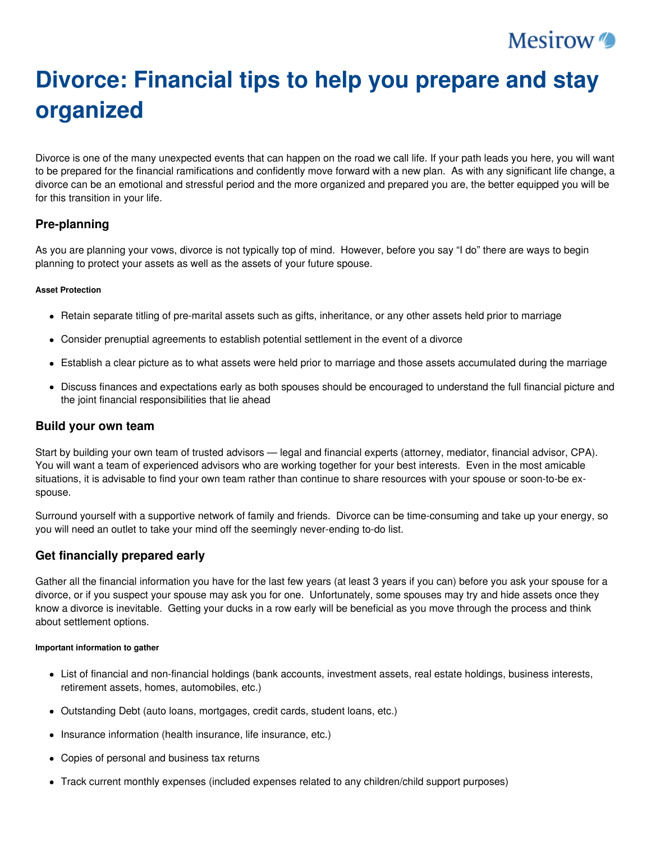## **Mesirow**

# **Divorce: Financial tips to help you prepare and stay organized**

Divorce is one of the many unexpected events that can happen on the road we call life. If your path leads you here, you will want to be prepared for the financial ramifications and confidently move forward with a new plan. As with any significant life change, a divorce can be an emotional and stressful period and the more organized and prepared you are, the better equipped you will be for this transition in your life.

## **Pre-planning**

As you are planning your vows, divorce is not typically top of mind. However, before you say "I do" there are ways to begin planning to protect your assets as well as the assets of your future spouse.

#### **Asset Protection**

- Retain separate titling of pre-marital assets such as gifts, inheritance, or any other assets held prior to marriage
- Consider prenuptial agreements to establish potential settlement in the event of a divorce
- Establish a clear picture as to what assets were held prior to marriage and those assets accumulated during the marriage
- Discuss finances and expectations early as both spouses should be encouraged to understand the full financial picture and the joint financial responsibilities that lie ahead

## **Build your own team**

Start by building your own team of trusted advisors — legal and financial experts (attorney, mediator, financial advisor, CPA). You will want a team of experienced advisors who are working together for your best interests. Even in the most amicable situations, it is advisable to find your own team rather than continue to share resources with your spouse or soon-to-be exspouse.

Surround yourself with a supportive network of family and friends. Divorce can be time-consuming and take up your energy, so you will need an outlet to take your mind off the seemingly never-ending to-do list.

## **Get financially prepared early**

Gather all the financial information you have for the last few years (at least 3 years if you can) before you ask your spouse for a divorce, or if you suspect your spouse may ask you for one. Unfortunately, some spouses may try and hide assets once they know a divorce is inevitable. Getting your ducks in a row early will be beneficial as you move through the process and think about settlement options.

#### **Important information to gather**

- List of financial and non-financial holdings (bank accounts, investment assets, real estate holdings, business interests, retirement assets, homes, automobiles, etc.)
- Outstanding Debt (auto loans, mortgages, credit cards, student loans, etc.)
- Insurance information (health insurance, life insurance, etc.)
- Copies of personal and business tax returns
- Track current monthly expenses (included expenses related to any children/child support purposes)